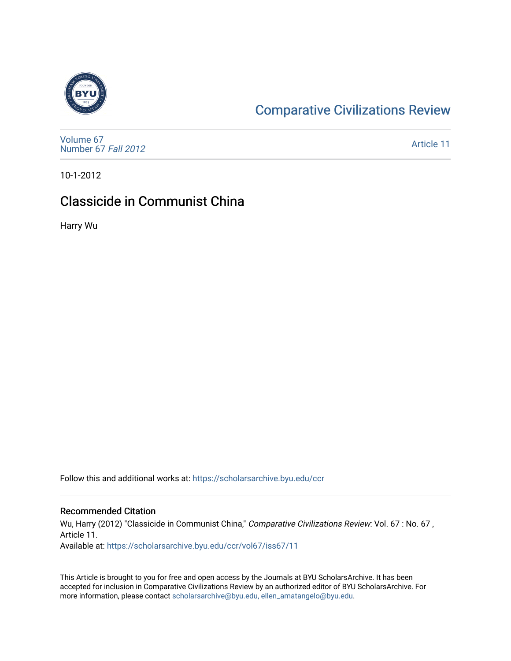

# [Comparative Civilizations Review](https://scholarsarchive.byu.edu/ccr)

[Volume 67](https://scholarsarchive.byu.edu/ccr/vol67) [Number 67](https://scholarsarchive.byu.edu/ccr/vol67/iss67) Fall 2012

[Article 11](https://scholarsarchive.byu.edu/ccr/vol67/iss67/11) 

10-1-2012

## Classicide in Communist China

Harry Wu

Follow this and additional works at: [https://scholarsarchive.byu.edu/ccr](https://scholarsarchive.byu.edu/ccr?utm_source=scholarsarchive.byu.edu%2Fccr%2Fvol67%2Fiss67%2F11&utm_medium=PDF&utm_campaign=PDFCoverPages) 

#### Recommended Citation

Wu, Harry (2012) "Classicide in Communist China," Comparative Civilizations Review: Vol. 67 : No. 67, Article 11. Available at: [https://scholarsarchive.byu.edu/ccr/vol67/iss67/11](https://scholarsarchive.byu.edu/ccr/vol67/iss67/11?utm_source=scholarsarchive.byu.edu%2Fccr%2Fvol67%2Fiss67%2F11&utm_medium=PDF&utm_campaign=PDFCoverPages) 

This Article is brought to you for free and open access by the Journals at BYU ScholarsArchive. It has been accepted for inclusion in Comparative Civilizations Review by an authorized editor of BYU ScholarsArchive. For more information, please contact [scholarsarchive@byu.edu, ellen\\_amatangelo@byu.edu.](mailto:scholarsarchive@byu.edu,%20ellen_amatangelo@byu.edu)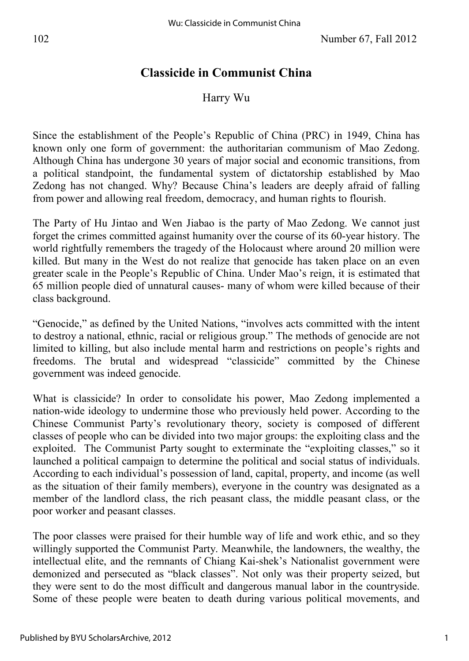## **Classicide in Communist China**

### Harry Wu

Since the establishment of the People's Republic of China (PRC) in 1949, China has known only one form of government: the authoritarian communism of Mao Zedong. Although China has undergone 30 years of major social and economic transitions, from a political standpoint, the fundamental system of dictatorship established by Mao Zedong has not changed. Why? Because China's leaders are deeply afraid of falling from power and allowing real freedom, democracy, and human rights to flourish.

The Party of Hu Jintao and Wen Jiabao is the party of Mao Zedong. We cannot just forget the crimes committed against humanity over the course of its 60-year history. The world rightfully remembers the tragedy of the Holocaust where around 20 million were killed. But many in the West do not realize that genocide has taken place on an even greater scale in the People's Republic of China. Under Mao's reign, it is estimated that 65 million people died of unnatural causes- many of whom were killed because of their class background.

"Genocide," as defined by the United Nations, "involves acts committed with the intent to destroy a national, ethnic, racial or religious group." The methods of genocide are not limited to killing, but also include mental harm and restrictions on people's rights and freedoms. The brutal and widespread "classicide" committed by the Chinese government was indeed genocide.

What is classicide? In order to consolidate his power, Mao Zedong implemented a nation-wide ideology to undermine those who previously held power. According to the Chinese Communist Party's revolutionary theory, society is composed of different classes of people who can be divided into two major groups: the exploiting class and the exploited. The Communist Party sought to exterminate the "exploiting classes," so it launched a political campaign to determine the political and social status of individuals. According to each individual's possession of land, capital, property, and income (as well as the situation of their family members), everyone in the country was designated as a member of the landlord class, the rich peasant class, the middle peasant class, or the poor worker and peasant classes.

The poor classes were praised for their humble way of life and work ethic, and so they willingly supported the Communist Party. Meanwhile, the landowners, the wealthy, the intellectual elite, and the remnants of Chiang Kai-shek's Nationalist government were demonized and persecuted as "black classes". Not only was their property seized, but they were sent to do the most difficult and dangerous manual labor in the countryside. Some of these people were beaten to death during various political movements, and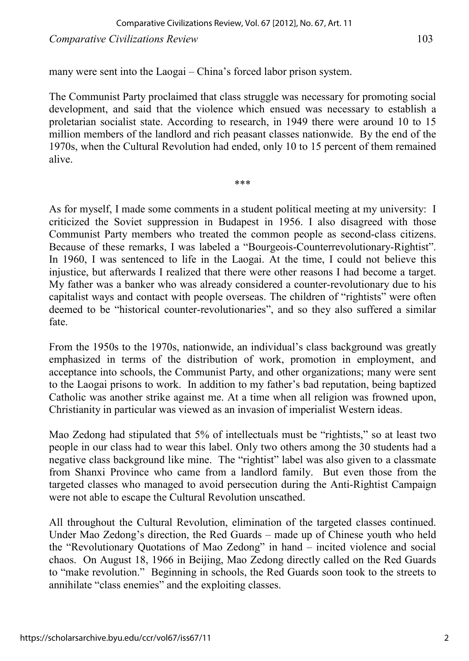many were sent into the Laogai – China's forced labor prison system.

The Communist Party proclaimed that class struggle was necessary for promoting social development, and said that the violence which ensued was necessary to establish a proletarian socialist state. According to research, in 1949 there were around 10 to 15 million members of the landlord and rich peasant classes nationwide. By the end of the 1970s, when the Cultural Revolution had ended, only 10 to 15 percent of them remained alive.

\*\*\*

As for myself, I made some comments in a student political meeting at my university: I criticized the Soviet suppression in Budapest in 1956. I also disagreed with those Communist Party members who treated the common people as second-class citizens. Because of these remarks, I was labeled a "Bourgeois-Counterrevolutionary-Rightist". In 1960, I was sentenced to life in the Laogai. At the time, I could not believe this injustice, but afterwards I realized that there were other reasons I had become a target. My father was a banker who was already considered a counter-revolutionary due to his capitalist ways and contact with people overseas. The children of "rightists" were often deemed to be "historical counter-revolutionaries", and so they also suffered a similar fate.

From the 1950s to the 1970s, nationwide, an individual's class background was greatly emphasized in terms of the distribution of work, promotion in employment, and acceptance into schools, the Communist Party, and other organizations; many were sent to the Laogai prisons to work. In addition to my father's bad reputation, being baptized Catholic was another strike against me. At a time when all religion was frowned upon, Christianity in particular was viewed as an invasion of imperialist Western ideas.

Mao Zedong had stipulated that 5% of intellectuals must be "rightists," so at least two people in our class had to wear this label. Only two others among the 30 students had a negative class background like mine. The "rightist" label was also given to a classmate from Shanxi Province who came from a landlord family. But even those from the targeted classes who managed to avoid persecution during the Anti-Rightist Campaign were not able to escape the Cultural Revolution unscathed.

All throughout the Cultural Revolution, elimination of the targeted classes continued. Under Mao Zedong's direction, the Red Guards – made up of Chinese youth who held the "Revolutionary Quotations of Mao Zedong" in hand – incited violence and social chaos. On August 18, 1966 in Beijing, Mao Zedong directly called on the Red Guards to "make revolution." Beginning in schools, the Red Guards soon took to the streets to annihilate "class enemies" and the exploiting classes.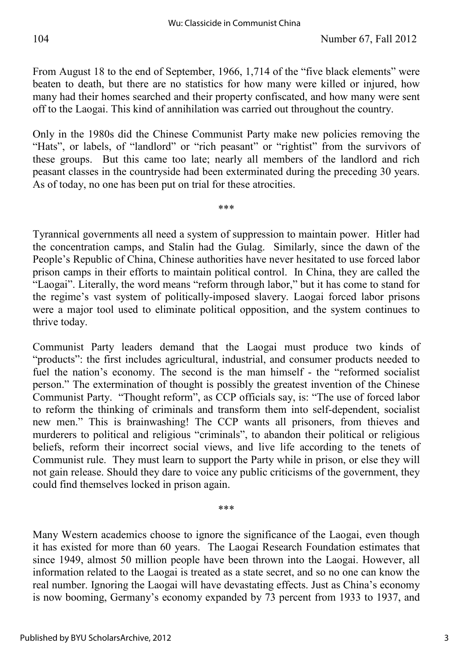From August 18 to the end of September, 1966, 1,714 of the "five black elements" were beaten to death, but there are no statistics for how many were killed or injured, how many had their homes searched and their property confiscated, and how many were sent off to the Laogai. This kind of annihilation was carried out throughout the country.

Only in the 1980s did the Chinese Communist Party make new policies removing the "Hats", or labels, of "landlord" or "rich peasant" or "rightist" from the survivors of these groups. But this came too late; nearly all members of the landlord and rich peasant classes in the countryside had been exterminated during the preceding 30 years. As of today, no one has been put on trial for these atrocities.

\*\*\*

Tyrannical governments all need a system of suppression to maintain power. Hitler had the concentration camps, and Stalin had the Gulag. Similarly, since the dawn of the People's Republic of China, Chinese authorities have never hesitated to use forced labor prison camps in their efforts to maintain political control. In China, they are called the "Laogai". Literally, the word means "reform through labor," but it has come to stand for the regime's vast system of politically-imposed slavery. Laogai forced labor prisons were a major tool used to eliminate political opposition, and the system continues to thrive today.

Communist Party leaders demand that the Laogai must produce two kinds of "products": the first includes agricultural, industrial, and consumer products needed to fuel the nation's economy. The second is the man himself - the "reformed socialist person." The extermination of thought is possibly the greatest invention of the Chinese Communist Party. "Thought reform", as CCP officials say, is: "The use of forced labor to reform the thinking of criminals and transform them into self-dependent, socialist new men." This is brainwashing! The CCP wants all prisoners, from thieves and murderers to political and religious "criminals", to abandon their political or religious beliefs, reform their incorrect social views, and live life according to the tenets of Communist rule. They must learn to support the Party while in prison, or else they will not gain release. Should they dare to voice any public criticisms of the government, they could find themselves locked in prison again.

\*\*\*

Many Western academics choose to ignore the significance of the Laogai, even though it has existed for more than 60 years. The Laogai Research Foundation estimates that since 1949, almost 50 million people have been thrown into the Laogai. However, all information related to the Laogai is treated as a state secret, and so no one can know the real number. Ignoring the Laogai will have devastating effects. Just as China's economy is now booming, Germany's economy expanded by 73 percent from 1933 to 1937, and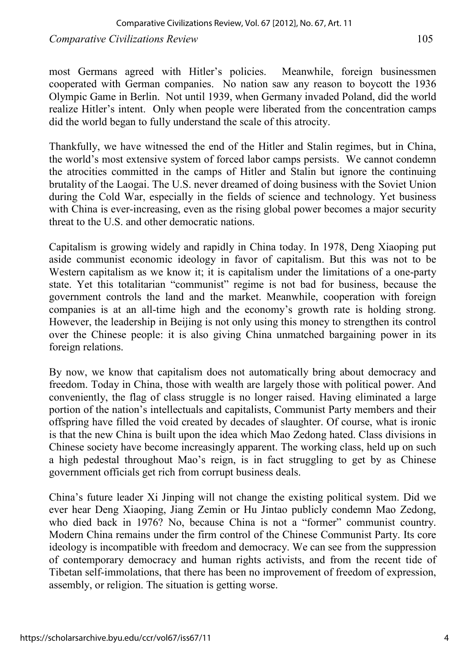*Comparative Civilizations Review* 105

most Germans agreed with Hitler's policies. Meanwhile, foreign businessmen cooperated with German companies. No nation saw any reason to boycott the 1936 Olympic Game in Berlin. Not until 1939, when Germany invaded Poland, did the world realize Hitler's intent. Only when people were liberated from the concentration camps did the world began to fully understand the scale of this atrocity.

Thankfully, we have witnessed the end of the Hitler and Stalin regimes, but in China, the world's most extensive system of forced labor camps persists. We cannot condemn the atrocities committed in the camps of Hitler and Stalin but ignore the continuing brutality of the Laogai. The U.S. never dreamed of doing business with the Soviet Union during the Cold War, especially in the fields of science and technology. Yet business with China is ever-increasing, even as the rising global power becomes a major security threat to the U.S. and other democratic nations.

Capitalism is growing widely and rapidly in China today. In 1978, Deng Xiaoping put aside communist economic ideology in favor of capitalism. But this was not to be Western capitalism as we know it; it is capitalism under the limitations of a one-party state. Yet this totalitarian "communist" regime is not bad for business, because the government controls the land and the market. Meanwhile, cooperation with foreign companies is at an all-time high and the economy's growth rate is holding strong. However, the leadership in Beijing is not only using this money to strengthen its control over the Chinese people: it is also giving China unmatched bargaining power in its foreign relations.

By now, we know that capitalism does not automatically bring about democracy and freedom. Today in China, those with wealth are largely those with political power. And conveniently, the flag of class struggle is no longer raised. Having eliminated a large portion of the nation's intellectuals and capitalists, Communist Party members and their offspring have filled the void created by decades of slaughter. Of course, what is ironic is that the new China is built upon the idea which Mao Zedong hated. Class divisions in Chinese society have become increasingly apparent. The working class, held up on such a high pedestal throughout Mao's reign, is in fact struggling to get by as Chinese government officials get rich from corrupt business deals.

China's future leader Xi Jinping will not change the existing political system. Did we ever hear Deng Xiaoping, Jiang Zemin or Hu Jintao publicly condemn Mao Zedong, who died back in 1976? No, because China is not a "former" communist country. Modern China remains under the firm control of the Chinese Communist Party. Its core ideology is incompatible with freedom and democracy. We can see from the suppression of contemporary democracy and human rights activists, and from the recent tide of Tibetan self-immolations, that there has been no improvement of freedom of expression, assembly, or religion. The situation is getting worse.